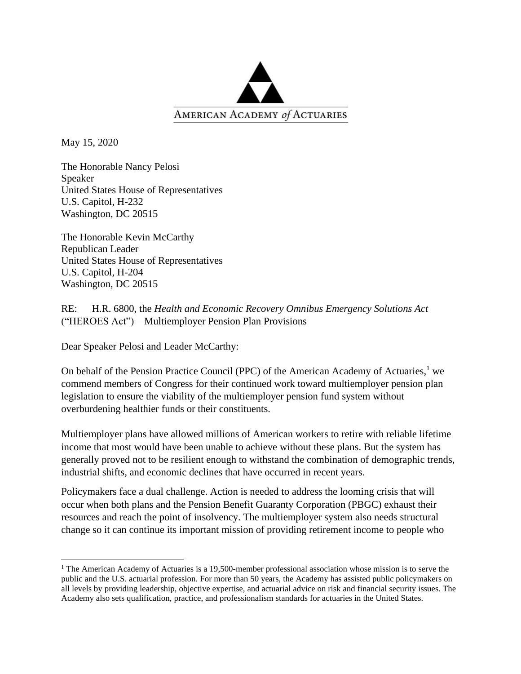

May 15, 2020

The Honorable Nancy Pelosi Speaker United States House of Representatives U.S. Capitol, H-232 Washington, DC 20515

The Honorable Kevin McCarthy Republican Leader United States House of Representatives U.S. Capitol, H-204 Washington, DC 20515

RE: H.R. 6800, the *Health and Economic Recovery Omnibus Emergency Solutions Act* ("HEROES Act")—Multiemployer Pension Plan Provisions

Dear Speaker Pelosi and Leader McCarthy:

On behalf of the Pension Practice Council (PPC) of the American Academy of Actuaries,<sup>1</sup> we commend members of Congress for their continued work toward multiemployer pension plan legislation to ensure the viability of the multiemployer pension fund system without overburdening healthier funds or their constituents.

Multiemployer plans have allowed millions of American workers to retire with reliable lifetime income that most would have been unable to achieve without these plans. But the system has generally proved not to be resilient enough to withstand the combination of demographic trends, industrial shifts, and economic declines that have occurred in recent years.

Policymakers face a dual challenge. Action is needed to address the looming crisis that will occur when both plans and the Pension Benefit Guaranty Corporation (PBGC) exhaust their resources and reach the point of insolvency. The multiemployer system also needs structural change so it can continue its important mission of providing retirement income to people who

<sup>&</sup>lt;sup>1</sup> The American Academy of Actuaries is a 19,500-member professional association whose mission is to serve the public and the U.S. actuarial profession. For more than 50 years, the Academy has assisted public policymakers on all levels by providing leadership, objective expertise, and actuarial advice on risk and financial security issues. The Academy also sets qualification, practice, and professionalism standards for actuaries in the United States.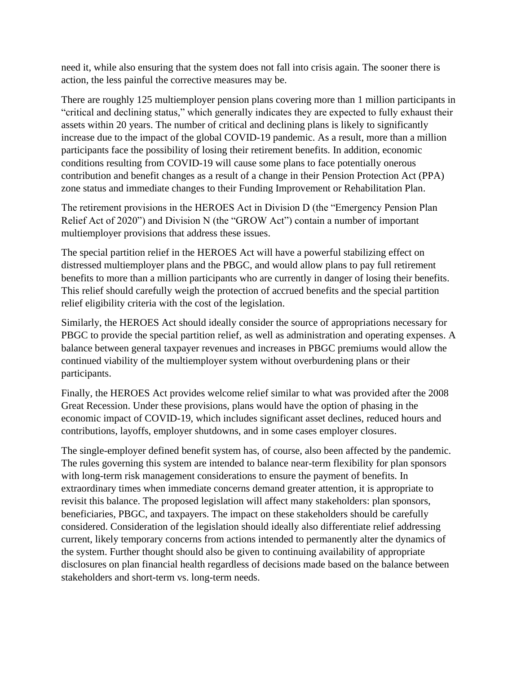need it, while also ensuring that the system does not fall into crisis again. The sooner there is action, the less painful the corrective measures may be.

There are roughly 125 multiemployer pension plans covering more than 1 million participants in "critical and declining status," which generally indicates they are expected to fully exhaust their assets within 20 years. The number of critical and declining plans is likely to significantly increase due to the impact of the global COVID-19 pandemic. As a result, more than a million participants face the possibility of losing their retirement benefits. In addition, economic conditions resulting from COVID-19 will cause some plans to face potentially onerous contribution and benefit changes as a result of a change in their Pension Protection Act (PPA) zone status and immediate changes to their Funding Improvement or Rehabilitation Plan.

The retirement provisions in the HEROES Act in Division D (the "Emergency Pension Plan Relief Act of 2020") and Division N (the "GROW Act") contain a number of important multiemployer provisions that address these issues.

The special partition relief in the HEROES Act will have a powerful stabilizing effect on distressed multiemployer plans and the PBGC, and would allow plans to pay full retirement benefits to more than a million participants who are currently in danger of losing their benefits. This relief should carefully weigh the protection of accrued benefits and the special partition relief eligibility criteria with the cost of the legislation.

Similarly, the HEROES Act should ideally consider the source of appropriations necessary for PBGC to provide the special partition relief, as well as administration and operating expenses. A balance between general taxpayer revenues and increases in PBGC premiums would allow the continued viability of the multiemployer system without overburdening plans or their participants.

Finally, the HEROES Act provides welcome relief similar to what was provided after the 2008 Great Recession. Under these provisions, plans would have the option of phasing in the economic impact of COVID-19, which includes significant asset declines, reduced hours and contributions, layoffs, employer shutdowns, and in some cases employer closures.

The single-employer defined benefit system has, of course, also been affected by the pandemic. The rules governing this system are intended to balance near-term flexibility for plan sponsors with long-term risk management considerations to ensure the payment of benefits. In extraordinary times when immediate concerns demand greater attention, it is appropriate to revisit this balance. The proposed legislation will affect many stakeholders: plan sponsors, beneficiaries, PBGC, and taxpayers. The impact on these stakeholders should be carefully considered. Consideration of the legislation should ideally also differentiate relief addressing current, likely temporary concerns from actions intended to permanently alter the dynamics of the system. Further thought should also be given to continuing availability of appropriate disclosures on plan financial health regardless of decisions made based on the balance between stakeholders and short-term vs. long-term needs.